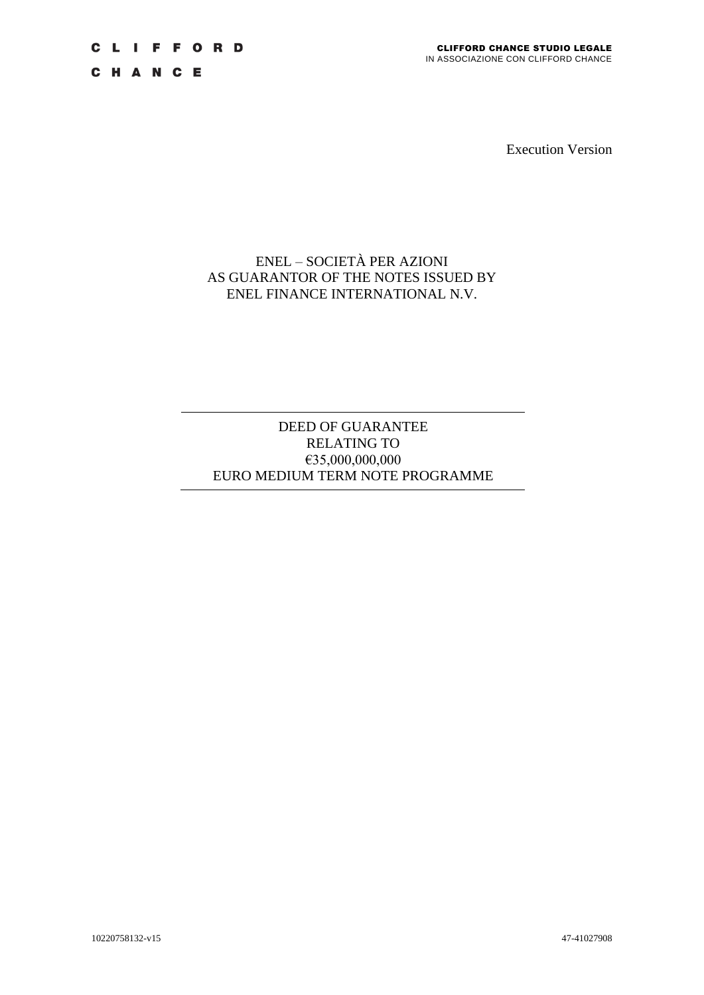C H A N C E

Execution Version

# ENEL – SOCIETÀ PER AZIONI AS GUARANTOR OF THE NOTES ISSUED BY ENEL FINANCE INTERNATIONAL N.V.

# DEED OF GUARANTEE RELATING TO €35,000,000,000 EURO MEDIUM TERM NOTE PROGRAMME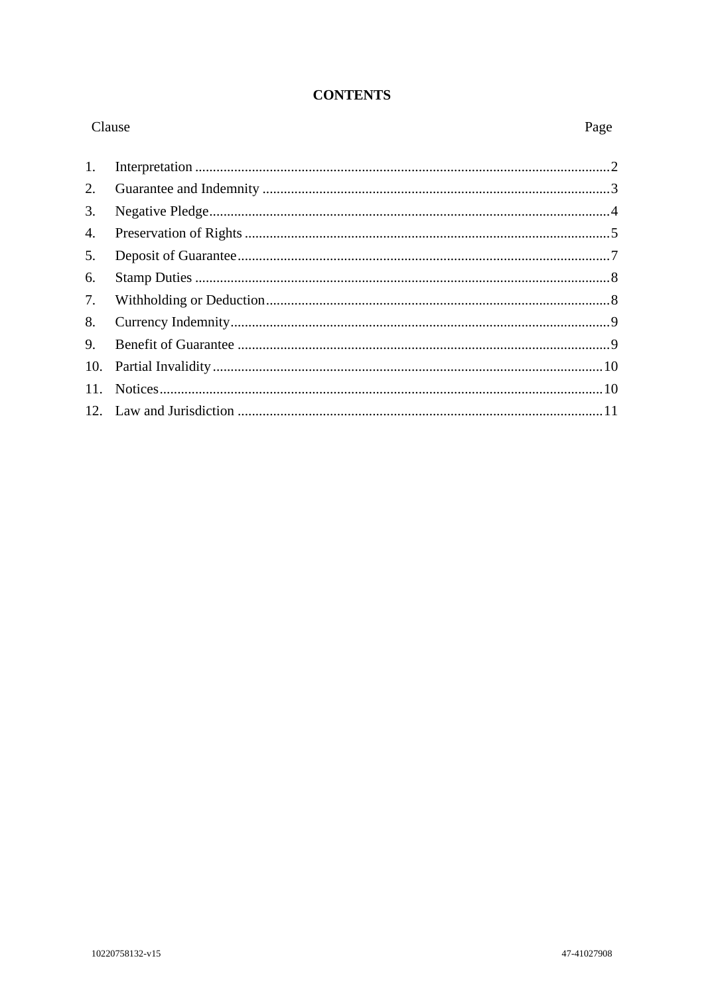## **CONTENTS**

| Clause |  | Page |
|--------|--|------|
| 1.     |  |      |
| 2.     |  |      |
| 3.     |  |      |
| 4.     |  |      |
| 5.     |  |      |
| 6.     |  |      |
| 7.     |  |      |
| 8.     |  |      |
| 9.     |  |      |
| 10.    |  |      |
| 11.    |  |      |
|        |  |      |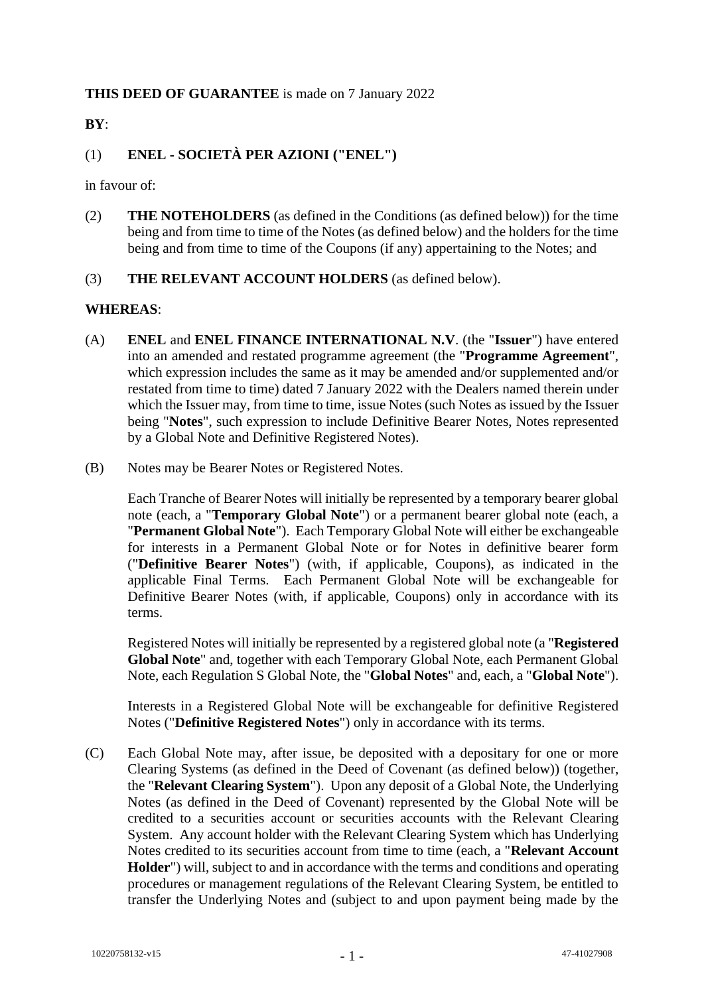## **THIS DEED OF GUARANTEE** is made on 7 January 2022

**BY**:

## (1) **ENEL - SOCIETÀ PER AZIONI ("ENEL")**

in favour of:

- (2) **THE NOTEHOLDERS** (as defined in the Conditions (as defined below)) for the time being and from time to time of the Notes (as defined below) and the holders for the time being and from time to time of the Coupons (if any) appertaining to the Notes; and
- (3) **THE RELEVANT ACCOUNT HOLDERS** (as defined below).

### **WHEREAS**:

- (A) **ENEL** and **ENEL FINANCE INTERNATIONAL N.V**. (the "**Issuer**") have entered into an amended and restated programme agreement (the "**Programme Agreement**", which expression includes the same as it may be amended and/or supplemented and/or restated from time to time) dated 7 January 2022 with the Dealers named therein under which the Issuer may, from time to time, issue Notes (such Notes as issued by the Issuer being "**Notes**", such expression to include Definitive Bearer Notes, Notes represented by a Global Note and Definitive Registered Notes).
- (B) Notes may be Bearer Notes or Registered Notes.

Each Tranche of Bearer Notes will initially be represented by a temporary bearer global note (each, a "**Temporary Global Note**") or a permanent bearer global note (each, a "**Permanent Global Note**"). Each Temporary Global Note will either be exchangeable for interests in a Permanent Global Note or for Notes in definitive bearer form ("**Definitive Bearer Notes**") (with, if applicable, Coupons), as indicated in the applicable Final Terms. Each Permanent Global Note will be exchangeable for Definitive Bearer Notes (with, if applicable, Coupons) only in accordance with its terms.

Registered Notes will initially be represented by a registered global note (a "**Registered Global Note**" and, together with each Temporary Global Note, each Permanent Global Note, each Regulation S Global Note, the "**Global Notes**" and, each, a "**Global Note**").

Interests in a Registered Global Note will be exchangeable for definitive Registered Notes ("**Definitive Registered Notes**") only in accordance with its terms.

(C) Each Global Note may, after issue, be deposited with a depositary for one or more Clearing Systems (as defined in the Deed of Covenant (as defined below)) (together, the "**Relevant Clearing System**"). Upon any deposit of a Global Note, the Underlying Notes (as defined in the Deed of Covenant) represented by the Global Note will be credited to a securities account or securities accounts with the Relevant Clearing System. Any account holder with the Relevant Clearing System which has Underlying Notes credited to its securities account from time to time (each, a "**Relevant Account Holder**") will, subject to and in accordance with the terms and conditions and operating procedures or management regulations of the Relevant Clearing System, be entitled to transfer the Underlying Notes and (subject to and upon payment being made by the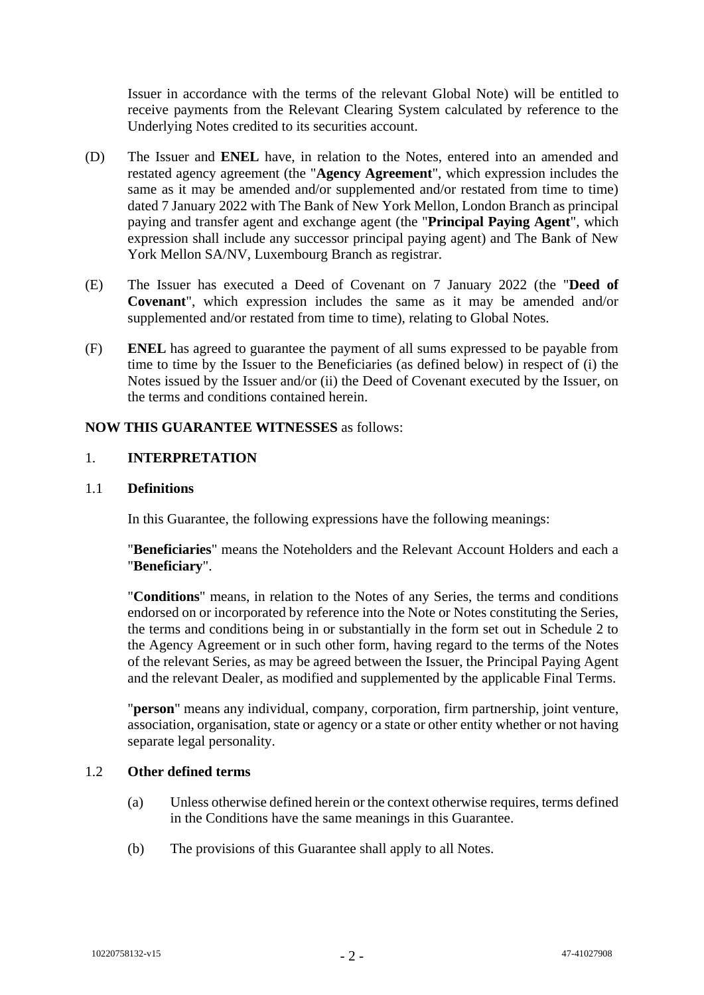Issuer in accordance with the terms of the relevant Global Note) will be entitled to receive payments from the Relevant Clearing System calculated by reference to the Underlying Notes credited to its securities account.

- (D) The Issuer and **ENEL** have, in relation to the Notes, entered into an amended and restated agency agreement (the "**Agency Agreement**", which expression includes the same as it may be amended and/or supplemented and/or restated from time to time) dated 7 January 2022 with The Bank of New York Mellon, London Branch as principal paying and transfer agent and exchange agent (the "**Principal Paying Agent**", which expression shall include any successor principal paying agent) and The Bank of New York Mellon SA/NV, Luxembourg Branch as registrar.
- (E) The Issuer has executed a Deed of Covenant on 7 January 2022 (the "**Deed of Covenant**", which expression includes the same as it may be amended and/or supplemented and/or restated from time to time), relating to Global Notes.
- (F) **ENEL** has agreed to guarantee the payment of all sums expressed to be payable from time to time by the Issuer to the Beneficiaries (as defined below) in respect of (i) the Notes issued by the Issuer and/or (ii) the Deed of Covenant executed by the Issuer, on the terms and conditions contained herein.

## **NOW THIS GUARANTEE WITNESSES** as follows:

### 1. **INTERPRETATION**

### 1.1 **Definitions**

In this Guarantee, the following expressions have the following meanings:

"**Beneficiaries**" means the Noteholders and the Relevant Account Holders and each a "**Beneficiary**".

"**Conditions**" means, in relation to the Notes of any Series, the terms and conditions endorsed on or incorporated by reference into the Note or Notes constituting the Series, the terms and conditions being in or substantially in the form set out in Schedule 2 to the Agency Agreement or in such other form, having regard to the terms of the Notes of the relevant Series, as may be agreed between the Issuer, the Principal Paying Agent and the relevant Dealer, as modified and supplemented by the applicable Final Terms.

"**person**" means any individual, company, corporation, firm partnership, joint venture, association, organisation, state or agency or a state or other entity whether or not having separate legal personality.

## 1.2 **Other defined terms**

- (a) Unless otherwise defined herein or the context otherwise requires, terms defined in the Conditions have the same meanings in this Guarantee.
- (b) The provisions of this Guarantee shall apply to all Notes.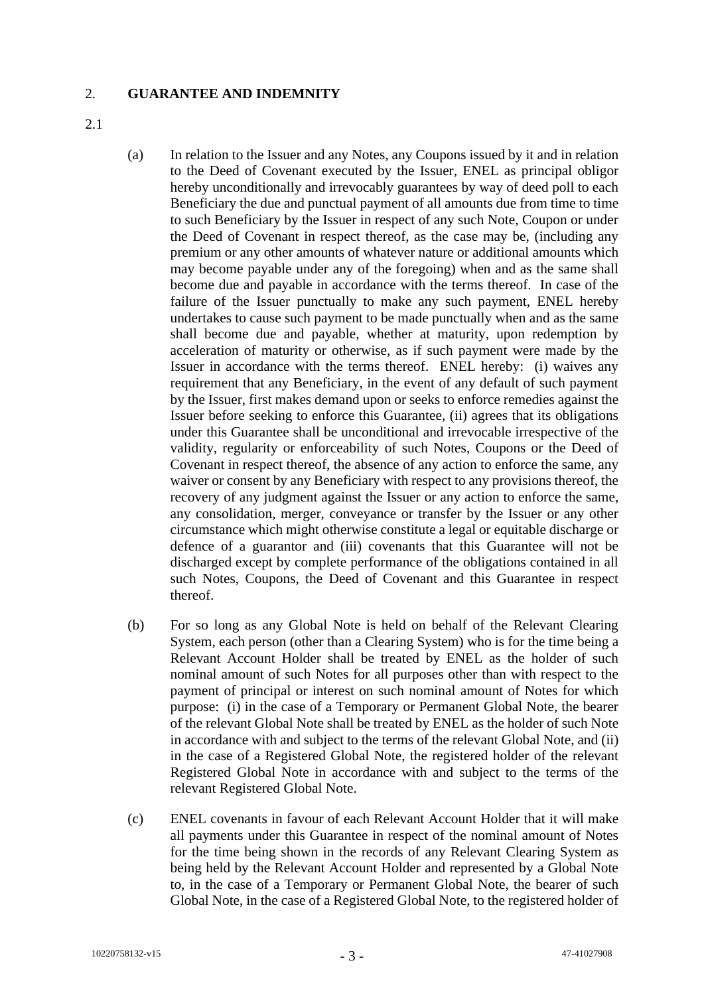## 2. **GUARANTEE AND INDEMNITY**

- 2.1
- <span id="page-4-0"></span>(a) In relation to the Issuer and any Notes, any Coupons issued by it and in relation to the Deed of Covenant executed by the Issuer, ENEL as principal obligor hereby unconditionally and irrevocably guarantees by way of deed poll to each Beneficiary the due and punctual payment of all amounts due from time to time to such Beneficiary by the Issuer in respect of any such Note, Coupon or under the Deed of Covenant in respect thereof, as the case may be, (including any premium or any other amounts of whatever nature or additional amounts which may become payable under any of the foregoing) when and as the same shall become due and payable in accordance with the terms thereof. In case of the failure of the Issuer punctually to make any such payment, ENEL hereby undertakes to cause such payment to be made punctually when and as the same shall become due and payable, whether at maturity, upon redemption by acceleration of maturity or otherwise, as if such payment were made by the Issuer in accordance with the terms thereof. ENEL hereby: (i) waives any requirement that any Beneficiary, in the event of any default of such payment by the Issuer, first makes demand upon or seeks to enforce remedies against the Issuer before seeking to enforce this Guarantee, (ii) agrees that its obligations under this Guarantee shall be unconditional and irrevocable irrespective of the validity, regularity or enforceability of such Notes, Coupons or the Deed of Covenant in respect thereof, the absence of any action to enforce the same, any waiver or consent by any Beneficiary with respect to any provisions thereof, the recovery of any judgment against the Issuer or any action to enforce the same, any consolidation, merger, conveyance or transfer by the Issuer or any other circumstance which might otherwise constitute a legal or equitable discharge or defence of a guarantor and (iii) covenants that this Guarantee will not be discharged except by complete performance of the obligations contained in all such Notes, Coupons, the Deed of Covenant and this Guarantee in respect thereof.
- (b) For so long as any Global Note is held on behalf of the Relevant Clearing System, each person (other than a Clearing System) who is for the time being a Relevant Account Holder shall be treated by ENEL as the holder of such nominal amount of such Notes for all purposes other than with respect to the payment of principal or interest on such nominal amount of Notes for which purpose: (i) in the case of a Temporary or Permanent Global Note, the bearer of the relevant Global Note shall be treated by ENEL as the holder of such Note in accordance with and subject to the terms of the relevant Global Note, and (ii) in the case of a Registered Global Note, the registered holder of the relevant Registered Global Note in accordance with and subject to the terms of the relevant Registered Global Note.
- (c) ENEL covenants in favour of each Relevant Account Holder that it will make all payments under this Guarantee in respect of the nominal amount of Notes for the time being shown in the records of any Relevant Clearing System as being held by the Relevant Account Holder and represented by a Global Note to, in the case of a Temporary or Permanent Global Note, the bearer of such Global Note, in the case of a Registered Global Note, to the registered holder of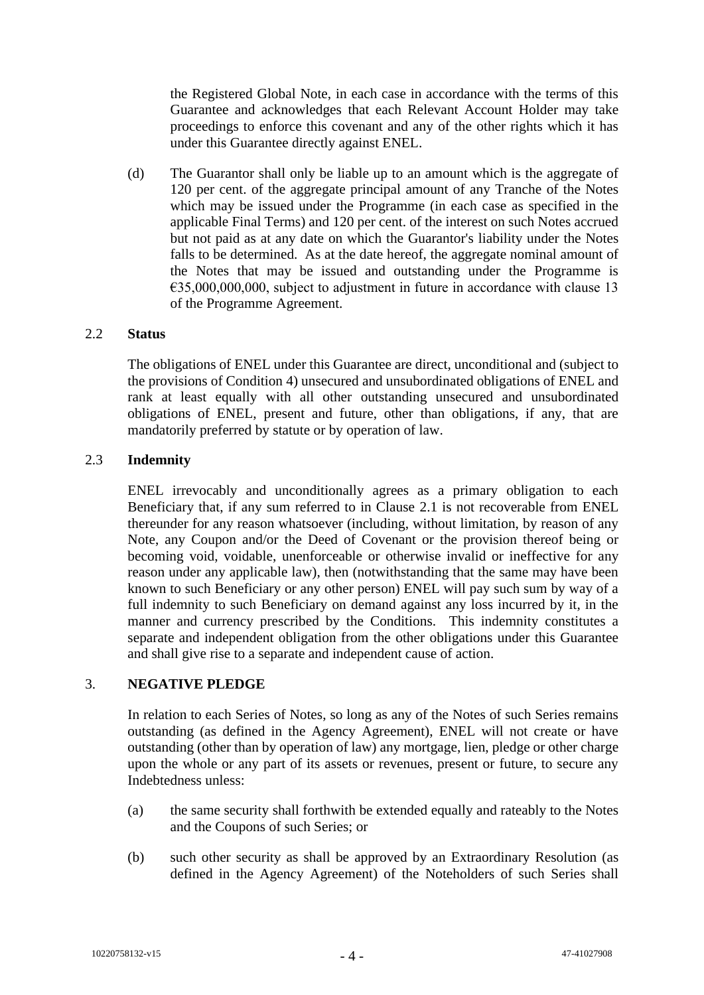the Registered Global Note, in each case in accordance with the terms of this Guarantee and acknowledges that each Relevant Account Holder may take proceedings to enforce this covenant and any of the other rights which it has under this Guarantee directly against ENEL.

(d) The Guarantor shall only be liable up to an amount which is the aggregate of 120 per cent. of the aggregate principal amount of any Tranche of the Notes which may be issued under the Programme (in each case as specified in the applicable Final Terms) and 120 per cent. of the interest on such Notes accrued but not paid as at any date on which the Guarantor's liability under the Notes falls to be determined. As at the date hereof, the aggregate nominal amount of the Notes that may be issued and outstanding under the Programme is  $\epsilon$ 35,000,000,000, subject to adjustment in future in accordance with clause 13 of the Programme Agreement.

### 2.2 **Status**

The obligations of ENEL under this Guarantee are direct, unconditional and (subject to the provisions of Condition 4) unsecured and unsubordinated obligations of ENEL and rank at least equally with all other outstanding unsecured and unsubordinated obligations of ENEL, present and future, other than obligations, if any, that are mandatorily preferred by statute or by operation of law.

## 2.3 **Indemnity**

ENEL irrevocably and unconditionally agrees as a primary obligation to each Beneficiary that, if any sum referred to in Clause [2.1](#page-4-0) is not recoverable from ENEL thereunder for any reason whatsoever (including, without limitation, by reason of any Note, any Coupon and/or the Deed of Covenant or the provision thereof being or becoming void, voidable, unenforceable or otherwise invalid or ineffective for any reason under any applicable law), then (notwithstanding that the same may have been known to such Beneficiary or any other person) ENEL will pay such sum by way of a full indemnity to such Beneficiary on demand against any loss incurred by it, in the manner and currency prescribed by the Conditions. This indemnity constitutes a separate and independent obligation from the other obligations under this Guarantee and shall give rise to a separate and independent cause of action.

### 3. **NEGATIVE PLEDGE**

In relation to each Series of Notes, so long as any of the Notes of such Series remains outstanding (as defined in the Agency Agreement), ENEL will not create or have outstanding (other than by operation of law) any mortgage, lien, pledge or other charge upon the whole or any part of its assets or revenues, present or future, to secure any Indebtedness unless:

- (a) the same security shall forthwith be extended equally and rateably to the Notes and the Coupons of such Series; or
- (b) such other security as shall be approved by an Extraordinary Resolution (as defined in the Agency Agreement) of the Noteholders of such Series shall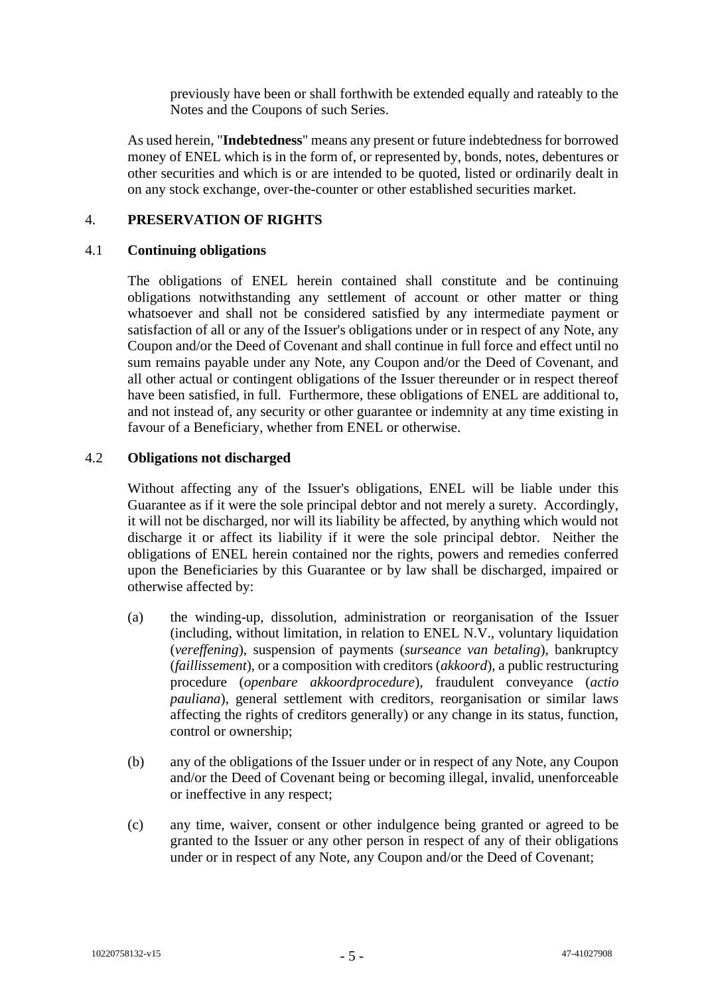previously have been or shall forthwith be extended equally and rateably to the Notes and the Coupons of such Series.

As used herein, "**Indebtedness**" means any present or future indebtedness for borrowed money of ENEL which is in the form of, or represented by, bonds, notes, debentures or other securities and which is or are intended to be quoted, listed or ordinarily dealt in on any stock exchange, over-the-counter or other established securities market.

## 4. **PRESERVATION OF RIGHTS**

### 4.1 **Continuing obligations**

The obligations of ENEL herein contained shall constitute and be continuing obligations notwithstanding any settlement of account or other matter or thing whatsoever and shall not be considered satisfied by any intermediate payment or satisfaction of all or any of the Issuer's obligations under or in respect of any Note, any Coupon and/or the Deed of Covenant and shall continue in full force and effect until no sum remains payable under any Note, any Coupon and/or the Deed of Covenant, and all other actual or contingent obligations of the Issuer thereunder or in respect thereof have been satisfied, in full. Furthermore, these obligations of ENEL are additional to, and not instead of, any security or other guarantee or indemnity at any time existing in favour of a Beneficiary, whether from ENEL or otherwise.

### 4.2 **Obligations not discharged**

Without affecting any of the Issuer's obligations, ENEL will be liable under this Guarantee as if it were the sole principal debtor and not merely a surety. Accordingly, it will not be discharged, nor will its liability be affected, by anything which would not discharge it or affect its liability if it were the sole principal debtor. Neither the obligations of ENEL herein contained nor the rights, powers and remedies conferred upon the Beneficiaries by this Guarantee or by law shall be discharged, impaired or otherwise affected by:

- (a) the winding-up, dissolution, administration or reorganisation of the Issuer (including, without limitation, in relation to ENEL N.V., voluntary liquidation (*vereffening*), suspension of payments (*surseance van betaling*), bankruptcy (*faillissement*), or a composition with creditors (*akkoord*), a public restructuring procedure (*openbare akkoordprocedure*), fraudulent conveyance (*actio pauliana*), general settlement with creditors, reorganisation or similar laws affecting the rights of creditors generally) or any change in its status, function, control or ownership;
- (b) any of the obligations of the Issuer under or in respect of any Note, any Coupon and/or the Deed of Covenant being or becoming illegal, invalid, unenforceable or ineffective in any respect;
- (c) any time, waiver, consent or other indulgence being granted or agreed to be granted to the Issuer or any other person in respect of any of their obligations under or in respect of any Note, any Coupon and/or the Deed of Covenant;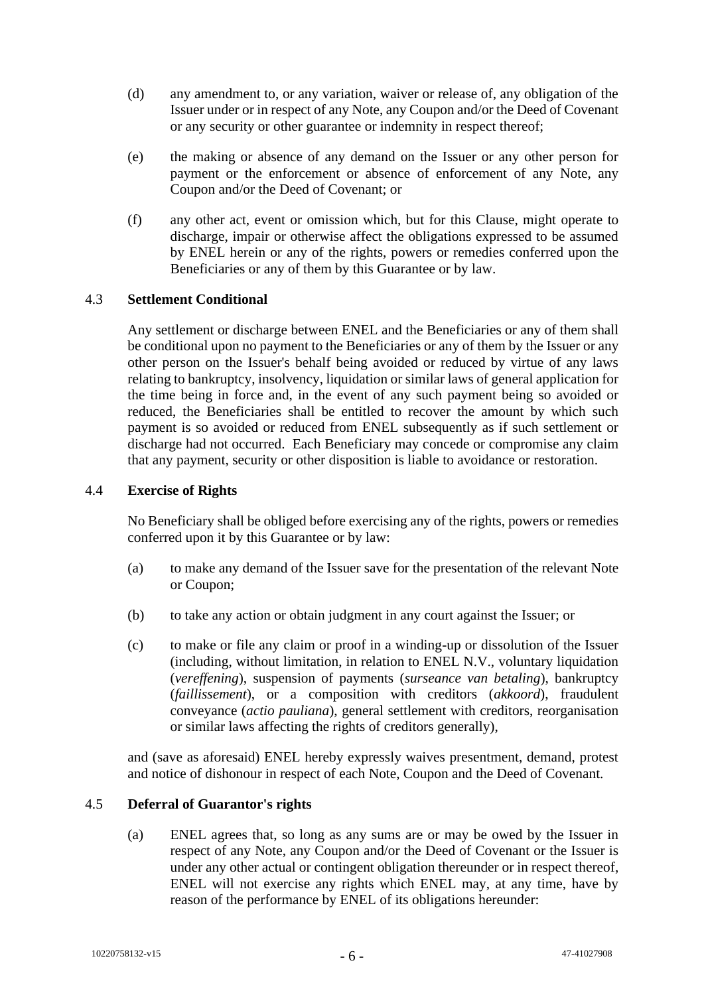- (d) any amendment to, or any variation, waiver or release of, any obligation of the Issuer under or in respect of any Note, any Coupon and/or the Deed of Covenant or any security or other guarantee or indemnity in respect thereof;
- (e) the making or absence of any demand on the Issuer or any other person for payment or the enforcement or absence of enforcement of any Note, any Coupon and/or the Deed of Covenant; or
- (f) any other act, event or omission which, but for this Clause, might operate to discharge, impair or otherwise affect the obligations expressed to be assumed by ENEL herein or any of the rights, powers or remedies conferred upon the Beneficiaries or any of them by this Guarantee or by law.

## 4.3 **Settlement Conditional**

Any settlement or discharge between ENEL and the Beneficiaries or any of them shall be conditional upon no payment to the Beneficiaries or any of them by the Issuer or any other person on the Issuer's behalf being avoided or reduced by virtue of any laws relating to bankruptcy, insolvency, liquidation or similar laws of general application for the time being in force and, in the event of any such payment being so avoided or reduced, the Beneficiaries shall be entitled to recover the amount by which such payment is so avoided or reduced from ENEL subsequently as if such settlement or discharge had not occurred. Each Beneficiary may concede or compromise any claim that any payment, security or other disposition is liable to avoidance or restoration.

#### 4.4 **Exercise of Rights**

No Beneficiary shall be obliged before exercising any of the rights, powers or remedies conferred upon it by this Guarantee or by law:

- (a) to make any demand of the Issuer save for the presentation of the relevant Note or Coupon;
- (b) to take any action or obtain judgment in any court against the Issuer; or
- (c) to make or file any claim or proof in a winding-up or dissolution of the Issuer (including, without limitation, in relation to ENEL N.V., voluntary liquidation (*vereffening*), suspension of payments (*surseance van betaling*), bankruptcy (*faillissement*), or a composition with creditors (*akkoord*), fraudulent conveyance (*actio pauliana*), general settlement with creditors, reorganisation or similar laws affecting the rights of creditors generally),

and (save as aforesaid) ENEL hereby expressly waives presentment, demand, protest and notice of dishonour in respect of each Note, Coupon and the Deed of Covenant.

### 4.5 **Deferral of Guarantor's rights**

(a) ENEL agrees that, so long as any sums are or may be owed by the Issuer in respect of any Note, any Coupon and/or the Deed of Covenant or the Issuer is under any other actual or contingent obligation thereunder or in respect thereof, ENEL will not exercise any rights which ENEL may, at any time, have by reason of the performance by ENEL of its obligations hereunder: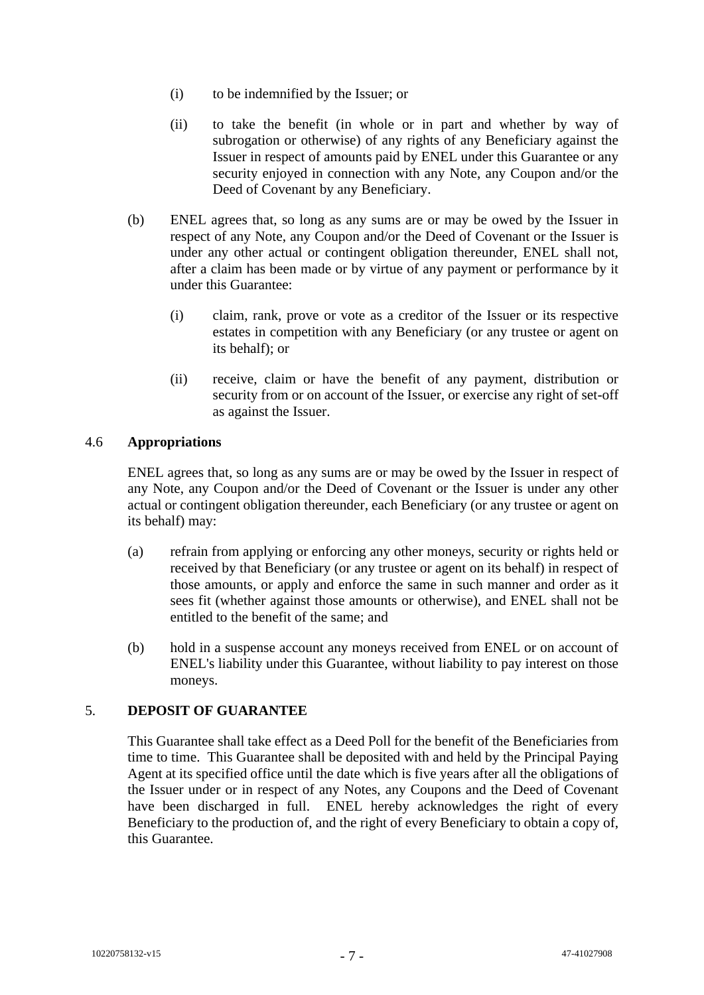- (i) to be indemnified by the Issuer; or
- (ii) to take the benefit (in whole or in part and whether by way of subrogation or otherwise) of any rights of any Beneficiary against the Issuer in respect of amounts paid by ENEL under this Guarantee or any security enjoyed in connection with any Note, any Coupon and/or the Deed of Covenant by any Beneficiary.
- (b) ENEL agrees that, so long as any sums are or may be owed by the Issuer in respect of any Note, any Coupon and/or the Deed of Covenant or the Issuer is under any other actual or contingent obligation thereunder, ENEL shall not, after a claim has been made or by virtue of any payment or performance by it under this Guarantee:
	- (i) claim, rank, prove or vote as a creditor of the Issuer or its respective estates in competition with any Beneficiary (or any trustee or agent on its behalf); or
	- (ii) receive, claim or have the benefit of any payment, distribution or security from or on account of the Issuer, or exercise any right of set-off as against the Issuer.

## 4.6 **Appropriations**

ENEL agrees that, so long as any sums are or may be owed by the Issuer in respect of any Note, any Coupon and/or the Deed of Covenant or the Issuer is under any other actual or contingent obligation thereunder, each Beneficiary (or any trustee or agent on its behalf) may:

- (a) refrain from applying or enforcing any other moneys, security or rights held or received by that Beneficiary (or any trustee or agent on its behalf) in respect of those amounts, or apply and enforce the same in such manner and order as it sees fit (whether against those amounts or otherwise), and ENEL shall not be entitled to the benefit of the same; and
- (b) hold in a suspense account any moneys received from ENEL or on account of ENEL's liability under this Guarantee, without liability to pay interest on those moneys.

## 5. **DEPOSIT OF GUARANTEE**

This Guarantee shall take effect as a Deed Poll for the benefit of the Beneficiaries from time to time. This Guarantee shall be deposited with and held by the Principal Paying Agent at its specified office until the date which is five years after all the obligations of the Issuer under or in respect of any Notes, any Coupons and the Deed of Covenant have been discharged in full. ENEL hereby acknowledges the right of every Beneficiary to the production of, and the right of every Beneficiary to obtain a copy of, this Guarantee.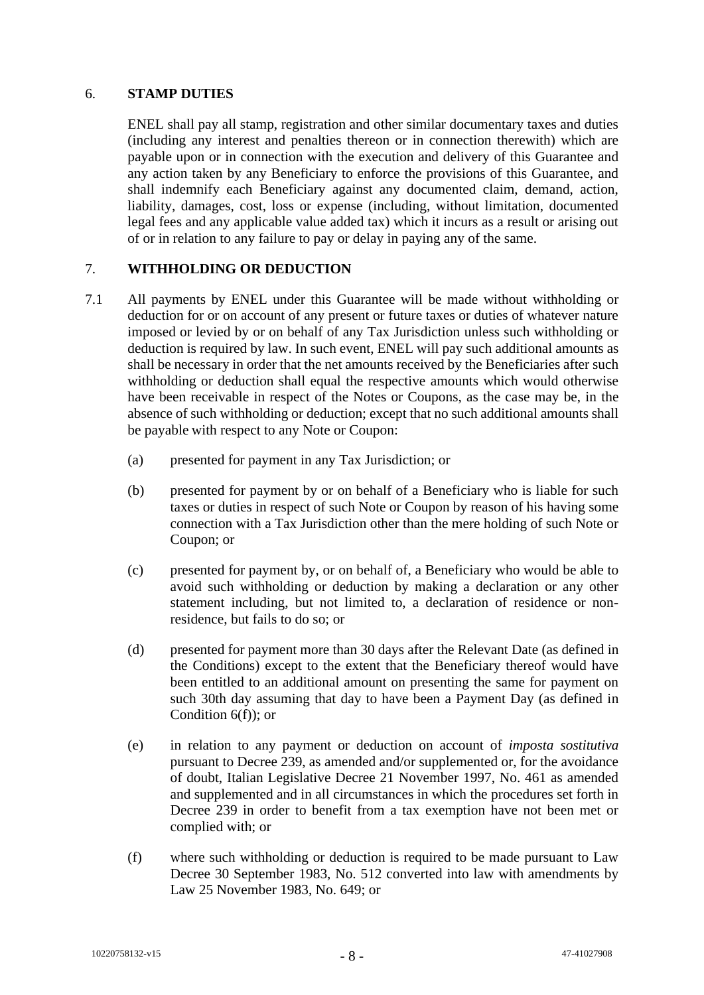### 6. **STAMP DUTIES**

ENEL shall pay all stamp, registration and other similar documentary taxes and duties (including any interest and penalties thereon or in connection therewith) which are payable upon or in connection with the execution and delivery of this Guarantee and any action taken by any Beneficiary to enforce the provisions of this Guarantee, and shall indemnify each Beneficiary against any documented claim, demand, action, liability, damages, cost, loss or expense (including, without limitation, documented legal fees and any applicable value added tax) which it incurs as a result or arising out of or in relation to any failure to pay or delay in paying any of the same.

## 7. **WITHHOLDING OR DEDUCTION**

- 7.1 All payments by ENEL under this Guarantee will be made without withholding or deduction for or on account of any present or future taxes or duties of whatever nature imposed or levied by or on behalf of any Tax Jurisdiction unless such withholding or deduction is required by law. In such event, ENEL will pay such additional amounts as shall be necessary in order that the net amounts received by the Beneficiaries after such withholding or deduction shall equal the respective amounts which would otherwise have been receivable in respect of the Notes or Coupons, as the case may be, in the absence of such withholding or deduction; except that no such additional amounts shall be payable with respect to any Note or Coupon:
	- (a) presented for payment in any Tax Jurisdiction; or
	- (b) presented for payment by or on behalf of a Beneficiary who is liable for such taxes or duties in respect of such Note or Coupon by reason of his having some connection with a Tax Jurisdiction other than the mere holding of such Note or Coupon; or
	- (c) presented for payment by, or on behalf of, a Beneficiary who would be able to avoid such withholding or deduction by making a declaration or any other statement including, but not limited to, a declaration of residence or nonresidence, but fails to do so; or
	- (d) presented for payment more than 30 days after the Relevant Date (as defined in the Conditions) except to the extent that the Beneficiary thereof would have been entitled to an additional amount on presenting the same for payment on such 30th day assuming that day to have been a Payment Day (as defined in Condition 6(f)); or
	- (e) in relation to any payment or deduction on account of *imposta sostitutiva* pursuant to Decree 239, as amended and/or supplemented or, for the avoidance of doubt, Italian Legislative Decree 21 November 1997, No. 461 as amended and supplemented and in all circumstances in which the procedures set forth in Decree 239 in order to benefit from a tax exemption have not been met or complied with; or
	- (f) where such withholding or deduction is required to be made pursuant to Law Decree 30 September 1983, No. 512 converted into law with amendments by Law 25 November 1983, No. 649; or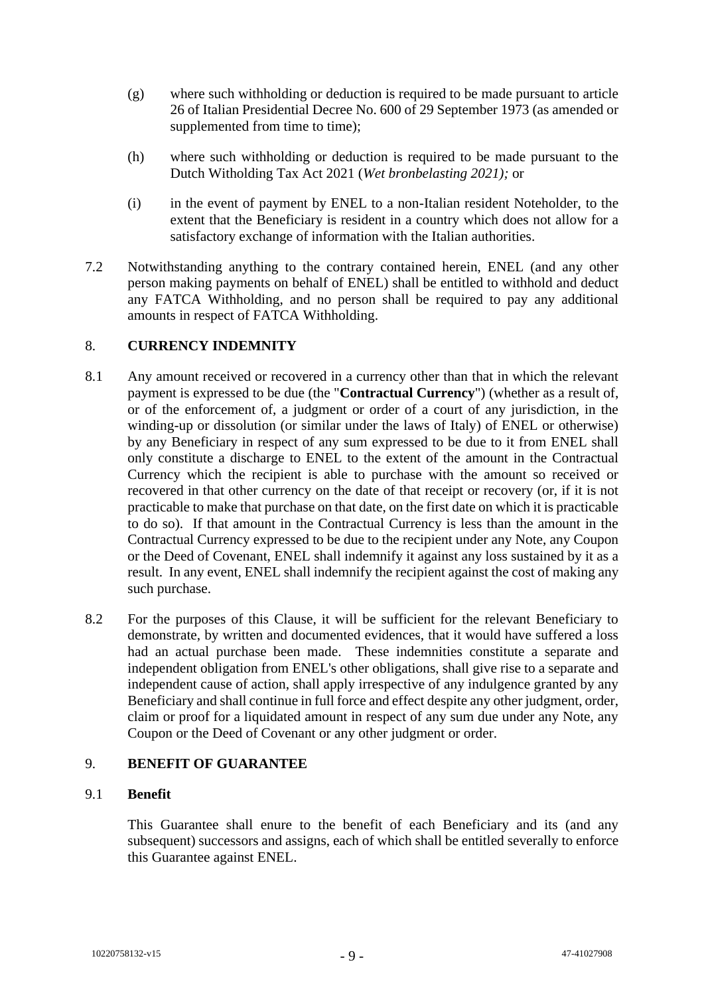- (g) where such withholding or deduction is required to be made pursuant to article 26 of Italian Presidential Decree No. 600 of 29 September 1973 (as amended or supplemented from time to time);
- (h) where such withholding or deduction is required to be made pursuant to the Dutch Witholding Tax Act 2021 (*Wet bronbelasting 2021);* or
- (i) in the event of payment by ENEL to a non-Italian resident Noteholder, to the extent that the Beneficiary is resident in a country which does not allow for a satisfactory exchange of information with the Italian authorities.
- 7.2 Notwithstanding anything to the contrary contained herein, ENEL (and any other person making payments on behalf of ENEL) shall be entitled to withhold and deduct any FATCA Withholding, and no person shall be required to pay any additional amounts in respect of FATCA Withholding.

## 8. **CURRENCY INDEMNITY**

- 8.1 Any amount received or recovered in a currency other than that in which the relevant payment is expressed to be due (the "**Contractual Currency**") (whether as a result of, or of the enforcement of, a judgment or order of a court of any jurisdiction, in the winding-up or dissolution (or similar under the laws of Italy) of ENEL or otherwise) by any Beneficiary in respect of any sum expressed to be due to it from ENEL shall only constitute a discharge to ENEL to the extent of the amount in the Contractual Currency which the recipient is able to purchase with the amount so received or recovered in that other currency on the date of that receipt or recovery (or, if it is not practicable to make that purchase on that date, on the first date on which it is practicable to do so). If that amount in the Contractual Currency is less than the amount in the Contractual Currency expressed to be due to the recipient under any Note, any Coupon or the Deed of Covenant, ENEL shall indemnify it against any loss sustained by it as a result. In any event, ENEL shall indemnify the recipient against the cost of making any such purchase.
- 8.2 For the purposes of this Clause, it will be sufficient for the relevant Beneficiary to demonstrate, by written and documented evidences, that it would have suffered a loss had an actual purchase been made. These indemnities constitute a separate and independent obligation from ENEL's other obligations, shall give rise to a separate and independent cause of action, shall apply irrespective of any indulgence granted by any Beneficiary and shall continue in full force and effect despite any other judgment, order, claim or proof for a liquidated amount in respect of any sum due under any Note, any Coupon or the Deed of Covenant or any other judgment or order.

### 9. **BENEFIT OF GUARANTEE**

### 9.1 **Benefit**

This Guarantee shall enure to the benefit of each Beneficiary and its (and any subsequent) successors and assigns, each of which shall be entitled severally to enforce this Guarantee against ENEL.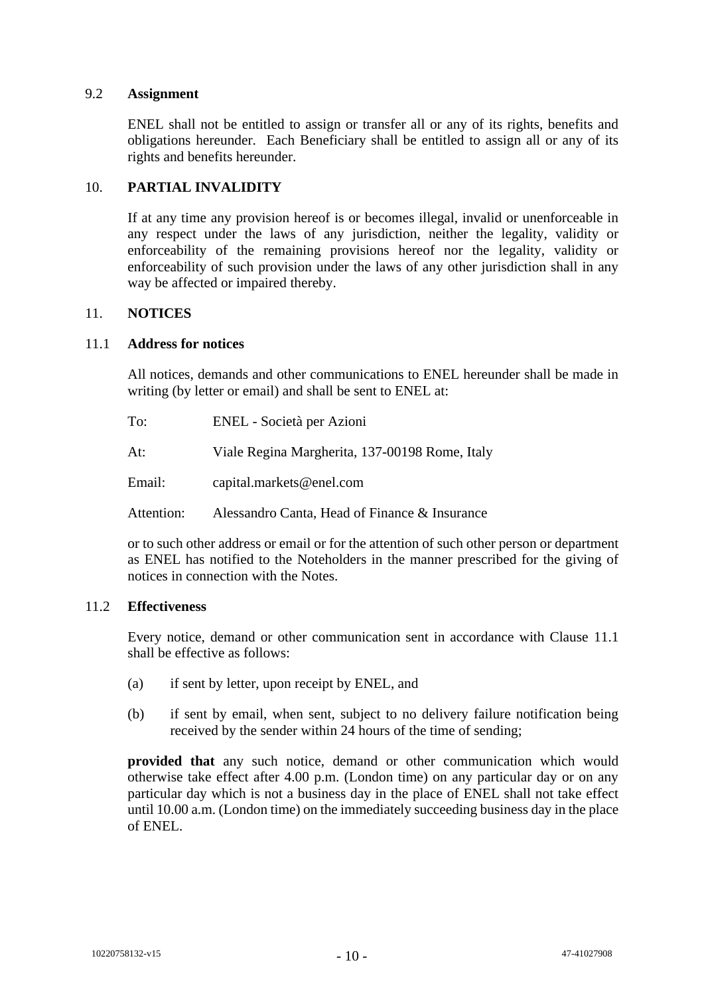### 9.2 **Assignment**

ENEL shall not be entitled to assign or transfer all or any of its rights, benefits and obligations hereunder. Each Beneficiary shall be entitled to assign all or any of its rights and benefits hereunder.

## 10. **PARTIAL INVALIDITY**

If at any time any provision hereof is or becomes illegal, invalid or unenforceable in any respect under the laws of any jurisdiction, neither the legality, validity or enforceability of the remaining provisions hereof nor the legality, validity or enforceability of such provision under the laws of any other jurisdiction shall in any way be affected or impaired thereby.

### 11. **NOTICES**

### <span id="page-11-0"></span>11.1 **Address for notices**

All notices, demands and other communications to ENEL hereunder shall be made in writing (by letter or email) and shall be sent to ENEL at:

| To:        | ENEL - Società per Azioni                      |
|------------|------------------------------------------------|
| At:        | Viale Regina Margherita, 137-00198 Rome, Italy |
| Email:     | capital.markets@enel.com                       |
| Attention: | Alessandro Canta. Head of Finance & Insurance  |

or to such other address or email or for the attention of such other person or department as ENEL has notified to the Noteholders in the manner prescribed for the giving of notices in connection with the Notes.

### 11.2 **Effectiveness**

Every notice, demand or other communication sent in accordance with Clause [11.1](#page-11-0) shall be effective as follows:

- (a) if sent by letter, upon receipt by ENEL, and
- (b) if sent by email, when sent, subject to no delivery failure notification being received by the sender within 24 hours of the time of sending;

**provided that** any such notice, demand or other communication which would otherwise take effect after 4.00 p.m. (London time) on any particular day or on any particular day which is not a business day in the place of ENEL shall not take effect until 10.00 a.m. (London time) on the immediately succeeding business day in the place of ENEL.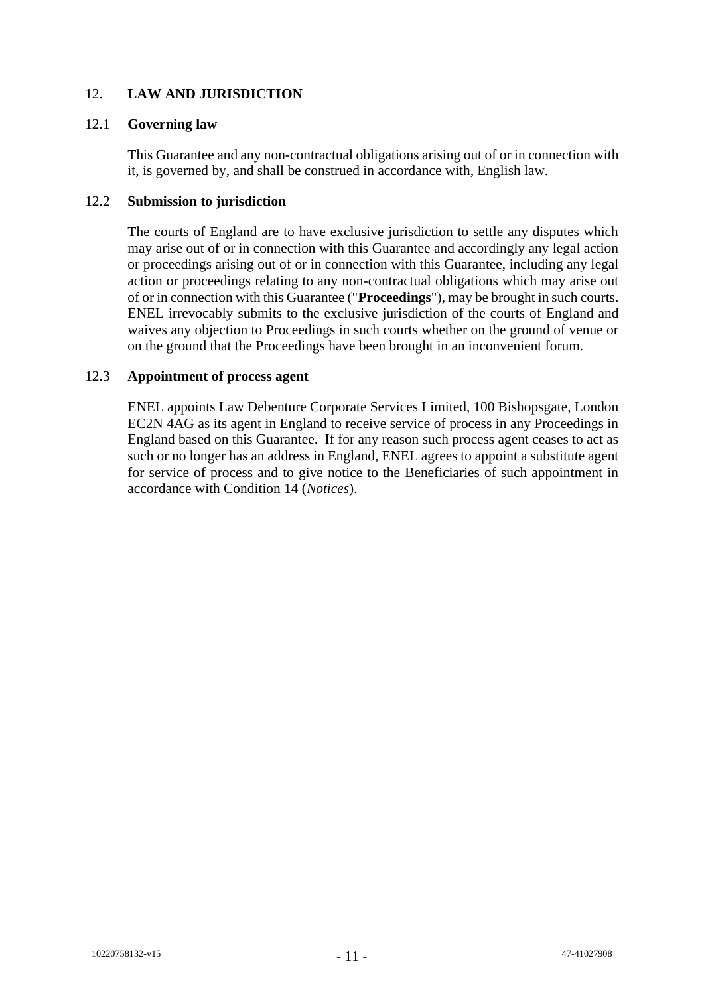## 12. **LAW AND JURISDICTION**

### 12.1 **Governing law**

This Guarantee and any non-contractual obligations arising out of or in connection with it, is governed by, and shall be construed in accordance with, English law.

## 12.2 **Submission to jurisdiction**

The courts of England are to have exclusive jurisdiction to settle any disputes which may arise out of or in connection with this Guarantee and accordingly any legal action or proceedings arising out of or in connection with this Guarantee, including any legal action or proceedings relating to any non-contractual obligations which may arise out of or in connection with this Guarantee ("**Proceedings**"), may be brought in such courts. ENEL irrevocably submits to the exclusive jurisdiction of the courts of England and waives any objection to Proceedings in such courts whether on the ground of venue or on the ground that the Proceedings have been brought in an inconvenient forum.

## 12.3 **Appointment of process agent**

ENEL appoints Law Debenture Corporate Services Limited, 100 Bishopsgate, London EC2N 4AG as its agent in England to receive service of process in any Proceedings in England based on this Guarantee. If for any reason such process agent ceases to act as such or no longer has an address in England, ENEL agrees to appoint a substitute agent for service of process and to give notice to the Beneficiaries of such appointment in accordance with Condition 14 (*Notices*).